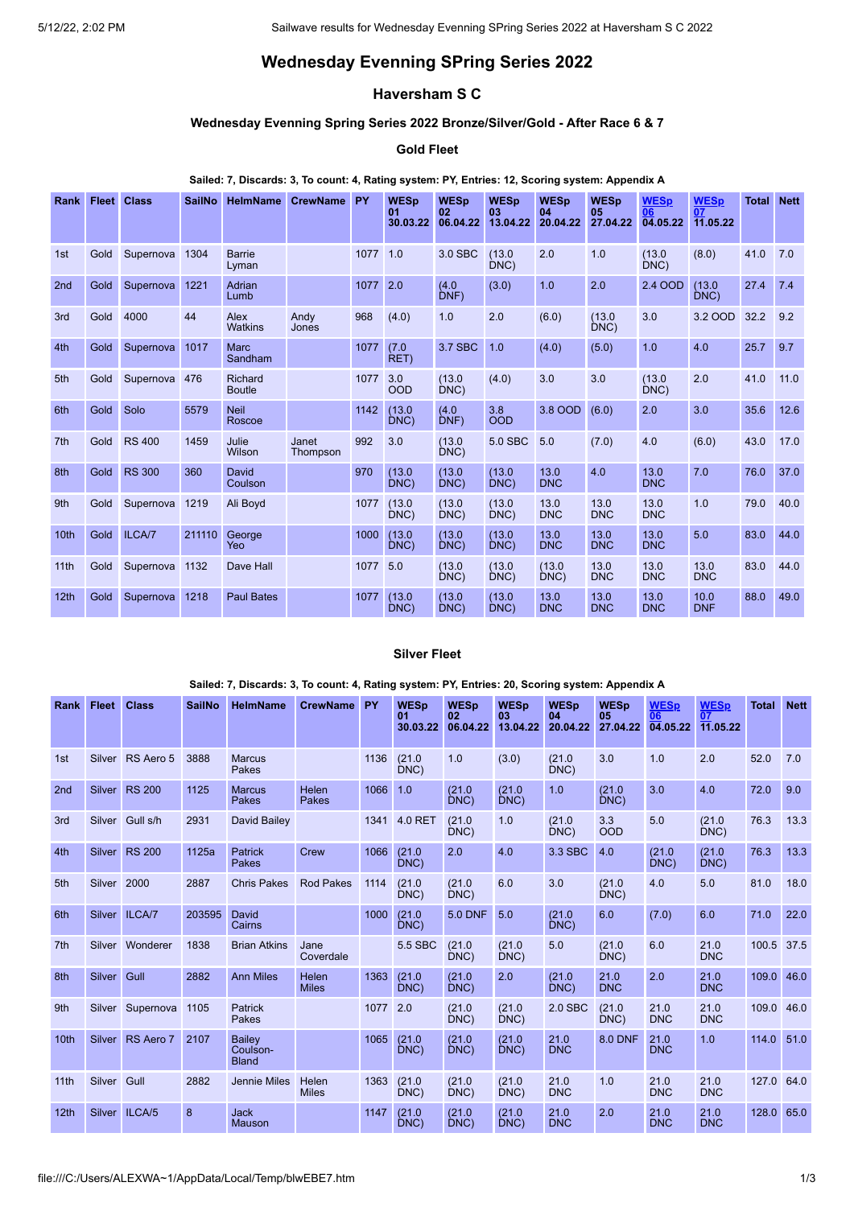# **Wednesday Evenning SPring Series 2022**

# **Haversham S C**

## **Wednesday Evenning Spring Series 2022 Bronze/Silver/Gold - After Race 6 & 7**

# **Gold Fleet**

#### **Sailed: 7, Discards: 3, To count: 4, Rating system: PY, Entries: 12, Scoring system: Appendix A**

| <b>Rank</b>     | <b>Fleet</b> | <b>Class</b>  | <b>SailNo</b> | <b>HelmName</b>          | <b>CrewName</b>   | PY   | <b>WESp</b><br>01<br>30.03.22 | <b>WESp</b><br>02<br>06.04.22 | <b>WESp</b><br>03<br>13.04.22 | <b>WESp</b><br>04<br>20.04.22 | <b>WESp</b><br>05<br>27.04.22 | <b>WESp</b><br>06<br>04.05.22 | <b>WESp</b><br>07<br>11.05.22 | <b>Total</b> | <b>Nett</b> |
|-----------------|--------------|---------------|---------------|--------------------------|-------------------|------|-------------------------------|-------------------------------|-------------------------------|-------------------------------|-------------------------------|-------------------------------|-------------------------------|--------------|-------------|
| 1st             | Gold         | Supernova     | 1304          | <b>Barrie</b><br>Lyman   |                   | 1077 | 1.0                           | 3.0 SBC                       | (13.0)<br>DNC)                | 2.0                           | 1.0                           | (13.0)<br>DNC                 | (8.0)                         | 41.0         | 7.0         |
| 2 <sub>nd</sub> | Gold         | Supernova     | 1221          | Adrian<br>Lumb           |                   | 1077 | 2.0                           | (4.0)<br>DNF                  | (3.0)                         | 1.0                           | 2.0                           | 2.4 OOD                       | (13.0)<br>DNC)                | 27.4         | 7.4         |
| 3rd             | Gold         | 4000          | 44            | Alex<br><b>Watkins</b>   | Andy<br>Jones     | 968  | (4.0)                         | 1.0                           | 2.0                           | (6.0)                         | (13.0)<br>DNC)                | 3.0                           | 3.2 OOD                       | 32.2         | 9.2         |
| 4th             | Gold         | Supernova     | 1017          | <b>Marc</b><br>Sandham   |                   | 1077 | (7.0)<br>RET)                 | 3.7 SBC                       | 1.0                           | (4.0)                         | (5.0)                         | 1.0                           | 4.0                           | 25.7         | 9.7         |
| 5th             | Gold         | Supernova     | 476           | Richard<br><b>Boutle</b> |                   | 1077 | 3.0<br><b>OOD</b>             | (13.0)<br>DNC)                | (4.0)                         | 3.0                           | 3.0                           | (13.0)<br>DNC)                | 2.0                           | 41.0         | 11.0        |
| 6th             | Gold         | Solo          | 5579          | <b>Neil</b><br>Roscoe    |                   | 1142 | (13.0)<br>DNC                 | (4.0)<br>DNF)                 | 3.8<br><b>OOD</b>             | 3.8 OOD                       | (6.0)                         | 2.0                           | 3.0                           | 35.6         | 12.6        |
| 7 <sup>th</sup> | <b>Gold</b>  | <b>RS 400</b> | 1459          | Julie<br>Wilson          | Janet<br>Thompson | 992  | 3.0                           | (13.0)<br>DNC)                | 5.0 SBC                       | 5.0                           | (7.0)                         | 4.0                           | (6.0)                         | 43.0         | 17.0        |
| 8th             | Gold         | <b>RS 300</b> | 360           | David<br>Coulson         |                   | 970  | (13.0)<br>DNC)                | (13.0)<br>DNC)                | (13.0)<br>DNC)                | 13.0<br><b>DNC</b>            | 4.0                           | 13.0<br><b>DNC</b>            | 7.0                           | 76.0         | 37.0        |
| 9th             | Gold         | Supernova     | 1219          | Ali Boyd                 |                   | 1077 | (13.0)<br>DNC)                | (13.0)<br>DNC                 | (13.0)<br>DNC)                | 13.0<br><b>DNC</b>            | 13.0<br><b>DNC</b>            | 13.0<br><b>DNC</b>            | 1.0                           | 79.0         | 40.0        |
| 10th            | Gold         | ILCA/7        | 211110        | George<br>Yeo            |                   | 1000 | (13.0)<br>DNC)                | (13.0)<br>DNC                 | (13.0)<br>DNC                 | 13.0<br><b>DNC</b>            | 13.0<br><b>DNC</b>            | 13.0<br><b>DNC</b>            | 5.0                           | 83.0         | 44.0        |
| 11th            | Gold         | Supernova     | 1132          | Dave Hall                |                   | 1077 | 5.0                           | (13.0)<br>DNC                 | (13.0)<br>DNC                 | (13.0)<br>DNC                 | 13.0<br><b>DNC</b>            | 13.0<br><b>DNC</b>            | 13.0<br><b>DNC</b>            | 83.0         | 44.0        |
| 12th            | Gold         | Supernova     | 1218          | <b>Paul Bates</b>        |                   | 1077 | (13.0)<br>DNC                 | (13.0)<br>DNC                 | (13.0)<br>DNC                 | 13.0<br><b>DNC</b>            | 13.0<br><b>DNC</b>            | 13.0<br><b>DNC</b>            | 10.0<br><b>DNF</b>            | 88.0         | 49.0        |

### **Silver Fleet**

#### **Sailed: 7, Discards: 3, To count: 4, Rating system: PY, Entries: 20, Scoring system: Appendix A**

|                  | Rank Fleet | <b>Class</b>     | <b>SailNo</b> | <b>HelmName</b>                    | <b>CrewName</b>              | <b>PY</b> | <b>WESp</b><br>01<br>30.03.22 | <b>WESp</b><br>02<br>06.04.22 | <b>WESp</b><br>03<br>13.04.22 | <b>WESp</b><br>04<br>20.04.22 | <b>WESp</b><br>05<br>27.04.22 | <b>WESp</b><br>06<br>04.05.22 | <b>WESp</b><br>07<br>$\overline{11.05.22}$ | <b>Total</b> | <b>Nett</b> |
|------------------|------------|------------------|---------------|------------------------------------|------------------------------|-----------|-------------------------------|-------------------------------|-------------------------------|-------------------------------|-------------------------------|-------------------------------|--------------------------------------------|--------------|-------------|
| 1st              |            | Silver RS Aero 5 | 3888          | <b>Marcus</b><br>Pakes             |                              | 1136      | (21.0)<br>DNC)                | 1.0                           | (3.0)                         | (21.0)<br>DNC)                | 3.0                           | 1.0                           | 2.0                                        | 52.0         | 7.0         |
| 2 <sub>nd</sub>  |            | Silver RS 200    | 1125          | <b>Marcus</b><br>Pakes             | <b>Helen</b><br>Pakes        | 1066      | 1.0                           | (21.0)<br>DNC)                | (21.0)<br>DNC)                | 1.0                           | (21.0)<br>DNC)                | 3.0                           | 4.0                                        | 72.0         | 9.0         |
| 3rd              |            | Silver Gull s/h  | 2931          | David Bailey                       |                              | 1341      | 4.0 RET                       | (21.0)<br>DNC)                | 1.0                           | (21.0)<br>DNC)                | 3.3<br><b>OOD</b>             | 5.0                           | (21.0)<br>DNC)                             | 76.3         | 13.3        |
| 4th              |            | Silver RS 200    | 1125a         | <b>Patrick</b><br>Pakes            | Crew                         | 1066      | (21.0)<br>DNC)                | 2.0                           | 4.0                           | 3.3 SBC                       | 4.0                           | (21.0)<br>DNC)                | (21.0)<br>DNC)                             | 76.3         | 13.3        |
| 5th              | Silver     | 2000             | 2887          | <b>Chris Pakes</b>                 | <b>Rod Pakes</b>             | 1114      | (21.0)<br>DNC)                | (21.0)<br>DNC)                | 6.0                           | 3.0                           | (21.0)<br>DNC                 | 4.0                           | 5.0                                        | 81.0         | 18.0        |
| 6th              |            | Silver ILCA/7    | 203595        | David<br>Cairns                    |                              | 1000      | (21.0)<br>DNC)                | <b>5.0 DNF</b>                | 5.0                           | (21.0)<br>DNC                 | 6.0                           | (7.0)                         | 6.0                                        | 71.0         | 22.0        |
| 7th              | Silver     | Wonderer         | 1838          | <b>Brian Atkins</b>                | Jane<br>Coverdale            |           | 5.5 SBC                       | (21.0)<br>DNC)                | (21.0)<br>DNC)                | 5.0                           | (21.0)<br>DNC)                | 6.0                           | 21.0<br><b>DNC</b>                         | 100.5        | 37.5        |
| 8th              | Silver     | Gull             | 2882          | <b>Ann Miles</b>                   | <b>Helen</b><br><b>Miles</b> | 1363      | (21.0)<br>DNC)                | (21.0)<br>DNC)                | 2.0                           | (21.0)<br>DNC)                | 21.0<br><b>DNC</b>            | 2.0                           | 21.0<br><b>DNC</b>                         | 109.0        | 46.0        |
| 9th              |            | Silver Supernova | 1105          | <b>Patrick</b><br>Pakes            |                              | 1077      | 2.0                           | (21.0)<br>DNC)                | (21.0)<br>DNC)                | 2.0 SBC                       | (21.0)<br>DNC)                | 21.0<br><b>DNC</b>            | 21.0<br><b>DNC</b>                         | 109.0 46.0   |             |
| 10 <sub>th</sub> |            | Silver RS Aero 7 | 2107          | Bailey<br>Coulson-<br><b>Bland</b> |                              | 1065      | (21.0)<br>DNC)                | (21.0)<br>DNC)                | (21.0)<br>DNC)                | 21.0<br><b>DNC</b>            | 8.0 DNF                       | 21.0<br><b>DNC</b>            | 1.0                                        | 114.0        | 51.0        |
| 11 <sub>th</sub> | Silver     | Gull             | 2882          | <b>Jennie Miles</b>                | Helen<br><b>Miles</b>        | 1363      | (21.0)<br>DNC)                | (21.0)<br>DNC)                | (21.0)<br>DNC)                | 21.0<br><b>DNC</b>            | 1.0                           | 21.0<br><b>DNC</b>            | 21.0<br><b>DNC</b>                         | 127.0        | 64.0        |
| 12th             |            | Silver ILCA/5    | 8             | <b>Jack</b><br><b>Mauson</b>       |                              | 1147      | (21.0)<br>DNC)                | (21.0)<br>DNC                 | (21.0)<br>DNC)                | 21.0<br><b>DNC</b>            | 2.0                           | 21.0<br><b>DNC</b>            | 21.0<br><b>DNC</b>                         | 128.0        | 65.0        |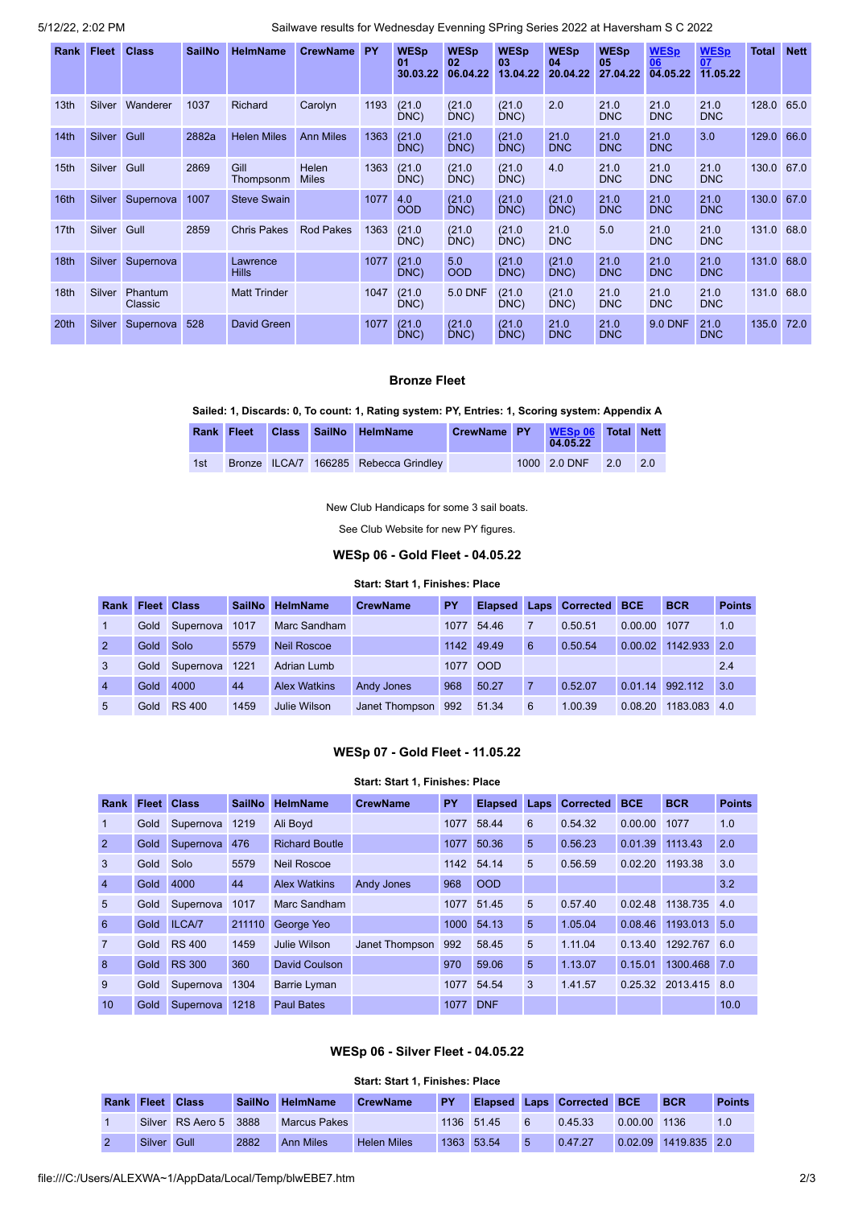5/12/22, 2:02 PM Sailwave results for Wednesday Evenning SPring Series 2022 at Haversham S C 2022

| Rank             | Fleet         | <b>Class</b>       | <b>SailNo</b> | <b>HelmName</b>          | <b>CrewName</b>       | <b>PY</b> | <b>WESp</b><br>0 <sub>1</sub><br>30.03.22 | <b>WESp</b><br>02<br>06.04.22 | <b>WESp</b><br>03<br>13.04.22 | <b>WESp</b><br>04<br>20.04.22 | <b>WESp</b><br>05<br>27.04.22 | <b>WESp</b><br>06<br>04.05.22 | <b>WESp</b><br>07<br>11.05.22 | <b>Total</b> | <b>Nett</b> |
|------------------|---------------|--------------------|---------------|--------------------------|-----------------------|-----------|-------------------------------------------|-------------------------------|-------------------------------|-------------------------------|-------------------------------|-------------------------------|-------------------------------|--------------|-------------|
| 13 <sub>th</sub> | <b>Silver</b> | Wanderer           | 1037          | Richard                  | Carolyn               | 1193      | (21.0)<br>DNC)                            | (21.0)<br>DNC)                | (21.0)<br>DNC)                | 2.0                           | 21.0<br><b>DNC</b>            | 21.0<br><b>DNC</b>            | 21.0<br><b>DNC</b>            | 128.0        | 65.0        |
| 14th             | Silver Gull   |                    | 2882a         | <b>Helen Miles</b>       | <b>Ann Miles</b>      | 1363      | (21.0)<br>DNC)                            | (21.0)<br>DNC)                | (21.0)<br>DNC)                | 21.0<br><b>DNC</b>            | 21.0<br><b>DNC</b>            | 21.0<br><b>DNC</b>            | 3.0                           | 129.0        | 66.0        |
| 15th             | Silver Gull   |                    | 2869          | Gill<br>Thompsonm        | Helen<br><b>Miles</b> | 1363      | (21.0)<br>DNC)                            | (21.0)<br>DNC)                | (21.0)<br>DNC)                | 4.0                           | 21.0<br><b>DNC</b>            | 21.0<br><b>DNC</b>            | 21.0<br><b>DNC</b>            | 130.0        | 67.0        |
| 16th             | Silver        | Supernova          | 1007          | <b>Steve Swain</b>       |                       | 1077      | 4.0<br><b>OOD</b>                         | (21.0)<br>DNC)                | (21.0)<br>DNC)                | (21.0)<br>DNC)                | 21.0<br><b>DNC</b>            | 21.0<br><b>DNC</b>            | 21.0<br><b>DNC</b>            | 130.0        | 67.0        |
| 17th             | Silver Gull   |                    | 2859          | <b>Chris Pakes</b>       | <b>Rod Pakes</b>      | 1363      | (21.0)<br>DNC)                            | (21.0)<br>DNC)                | (21.0)<br>DNC)                | 21.0<br><b>DNC</b>            | 5.0                           | 21.0<br><b>DNC</b>            | 21.0<br><b>DNC</b>            | 131.0        | 68.0        |
| 18th             | Silver        | Supernova          |               | Lawrence<br><b>Hills</b> |                       | 1077      | (21.0)<br>DNC)                            | 5.0<br><b>OOD</b>             | (21.0)<br>DNC)                | (21.0)<br>DNC)                | 21.0<br><b>DNC</b>            | 21.0<br><b>DNC</b>            | 21.0<br><b>DNC</b>            | 131.0        | 68.0        |
| 18 <sub>th</sub> | <b>Silver</b> | Phantum<br>Classic |               | <b>Matt Trinder</b>      |                       | 1047      | (21.0)<br>DNC)                            | 5.0 DNF                       | (21.0)<br>DNC)                | (21.0)<br>DNC)                | 21.0<br><b>DNC</b>            | 21.0<br><b>DNC</b>            | 21.0<br><b>DNC</b>            | 131.0        | 68.0        |
| 20th             | Silver        | Supernova          | 528           | David Green              |                       | 1077      | (21.0)<br>DNC)                            | (21.0)<br>DNC)                | (21.0)<br>DNC)                | 21.0<br><b>DNC</b>            | 21.0<br><b>DNC</b>            | <b>9.0 DNF</b>                | 21.0<br><b>DNC</b>            | 135.0        | 72.0        |

## **Bronze Fleet**

#### **Sailed: 1, Discards: 0, To count: 1, Rating system: PY, Entries: 1, Scoring system: Appendix A**

| Rank Fleet |  | Class SailNo HelmName                 | CrewName PY | WESp 06 Total Nett<br>04.05.22 |                  |
|------------|--|---------------------------------------|-------------|--------------------------------|------------------|
| 1st        |  | Bronze ILCA/7 166285 Rebecca Grindley |             | 1000 2.0 DNF 2.0               | $\overline{2.0}$ |

New Club Handicaps for some 3 sail boats.

See Club Website for new PY figures.

## **WESp 06 - Gold Fleet - 04.05.22**

#### **Start: Start 1, Finishes: Place**

<span id="page-1-0"></span>

| Rank           |      | <b>Fleet Class</b> | <b>SailNo</b> | <b>HelmName</b>     | <b>CrewName</b>    | PY   |            |   | Elapsed Laps Corrected BCE |         | <b>BCR</b>   | <b>Points</b> |
|----------------|------|--------------------|---------------|---------------------|--------------------|------|------------|---|----------------------------|---------|--------------|---------------|
|                | Gold | Supernova          | 1017          | Marc Sandham        |                    | 1077 | 54.46      |   | 0.50.51                    | 0.00.00 | 1077         | 1.0           |
| $\overline{2}$ | Gold | <b>Solo</b>        | 5579          | <b>Neil Roscoe</b>  |                    |      | 1142 49.49 | 6 | 0.50.54                    | 0.00.02 | 1142.933 2.0 |               |
| $\mathbf{3}$   | Gold | Supernova          | 1221          | Adrian Lumb         |                    |      | 1077 OOD   |   |                            |         |              | 2.4           |
| $\overline{4}$ | Gold | 4000               | 44            | <b>Alex Watkins</b> | <b>Andy Jones</b>  | 968  | 50.27      |   | 0.52.07                    | 0.01.14 | 992.112      | 3.0           |
| -5             | Gold | <b>RS 400</b>      | 1459          | Julie Wilson        | Janet Thompson 992 |      | 51.34      | 6 | 1.00.39                    | 0.08.20 | 1183.083 4.0 |               |

## **WESp 07 - Gold Fleet - 11.05.22**

# **Start: Start 1, Finishes: Place**

<span id="page-1-1"></span>

| <b>Rank</b>    |      | <b>Fleet Class</b> | <b>SailNo</b> | <b>HelmName</b>       | <b>CrewName</b>   | <b>PY</b> | <b>Elapsed</b> | <b>Laps</b> | <b>Corrected</b> | <b>BCE</b> | <b>BCR</b>   | <b>Points</b> |
|----------------|------|--------------------|---------------|-----------------------|-------------------|-----------|----------------|-------------|------------------|------------|--------------|---------------|
| -1             | Gold | Supernova          | 1219          | Ali Boyd              |                   | 1077      | 58.44          | 6           | 0.54.32          | 0.00.00    | 1077         | 1.0           |
| $\overline{2}$ | Gold | Supernova          | 476           | <b>Richard Boutle</b> |                   | 1077      | 50.36          | 5           | 0.56.23          | 0.01.39    | 1113.43      | 2.0           |
| 3              | Gold | Solo               | 5579          | <b>Neil Roscoe</b>    |                   | 1142      | 54.14          | 5           | 0.56.59          | 0.02.20    | 1193.38      | 3.0           |
| $\overline{4}$ | Gold | 4000               | 44            | <b>Alex Watkins</b>   | <b>Andy Jones</b> | 968       | <b>OOD</b>     |             |                  |            |              | 3.2           |
| 5              | Gold | Supernova          | 1017          | Marc Sandham          |                   | 1077      | 51.45          | 5           | 0.57.40          | 0.02.48    | 1138.735     | 4.0           |
| 6              | Gold | ILCA/7             | 211110        | George Yeo            |                   | 1000      | 54.13          | 5           | 1.05.04          | 0.08.46    | 1193.013     | 5.0           |
| $\overline{7}$ | Gold | <b>RS 400</b>      | 1459          | Julie Wilson          | Janet Thompson    | 992       | 58.45          | 5           | 1.11.04          | 0.13.40    | 1292.767     | 6.0           |
| 8              | Gold | <b>RS 300</b>      | 360           | David Coulson         |                   | 970       | 59.06          | 5           | 1.13.07          | 0.15.01    | 1300.468     | 7.0           |
| 9              | Gold | Supernova          | 1304          | <b>Barrie Lyman</b>   |                   | 1077      | 54.54          | 3           | 1.41.57          | 0.25.32    | 2013.415 8.0 |               |
| 10             | Gold | Supernova          | 1218          | <b>Paul Bates</b>     |                   | 1077      | <b>DNF</b>     |             |                  |            |              | 10.0          |

## **WESp 06 - Silver Fleet - 04.05.22**

## **Start: Start 1, Finishes: Place**

<span id="page-1-2"></span>

| <b>Rank Fleet Class</b> |                       | <b>SailNo</b> | <b>HelmName</b>     | <b>CrewName</b>    | PY   |            |    | Elapsed Laps Corrected BCE |              | <b>BCR</b>           | <b>Points</b> |
|-------------------------|-----------------------|---------------|---------------------|--------------------|------|------------|----|----------------------------|--------------|----------------------|---------------|
|                         | Silver RS Aero 5 3888 |               | <b>Marcus Pakes</b> |                    |      | 1136 51.45 |    | 0.45.33                    | 0.00.00 1136 |                      |               |
| Silver                  | Gull                  | 2882          | <b>Ann Miles</b>    | <b>Helen Miles</b> | 1363 | 53.54      | -5 | 0.47.27                    |              | 0.02.09 1419.835 2.0 |               |